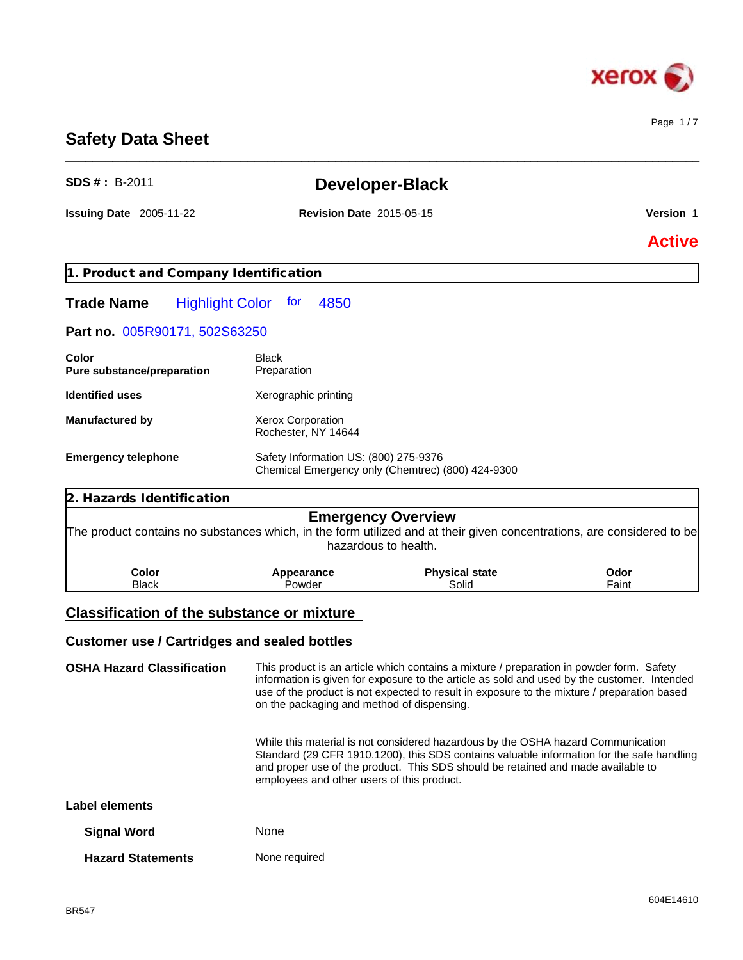

Page 1 / 7

# **Safety Data Sheet**

| $SDS # : B-2011$                                    |                                            | <b>Developer-Black</b>                                                                                                                                                                                                                                                                 |               |  |  |
|-----------------------------------------------------|--------------------------------------------|----------------------------------------------------------------------------------------------------------------------------------------------------------------------------------------------------------------------------------------------------------------------------------------|---------------|--|--|
| <b>Issuing Date 2005-11-22</b>                      | <b>Revision Date 2015-05-15</b>            |                                                                                                                                                                                                                                                                                        | Version 1     |  |  |
|                                                     |                                            |                                                                                                                                                                                                                                                                                        | <b>Active</b> |  |  |
| 1. Product and Company Identification               |                                            |                                                                                                                                                                                                                                                                                        |               |  |  |
| <b>Highlight Color</b><br><b>Trade Name</b>         | for<br>4850                                |                                                                                                                                                                                                                                                                                        |               |  |  |
| Part no. 005R90171, 502S63250                       |                                            |                                                                                                                                                                                                                                                                                        |               |  |  |
| Color<br>Pure substance/preparation                 | <b>Black</b><br>Preparation                |                                                                                                                                                                                                                                                                                        |               |  |  |
| <b>Identified uses</b>                              | Xerographic printing                       |                                                                                                                                                                                                                                                                                        |               |  |  |
| <b>Manufactured by</b>                              | Xerox Corporation<br>Rochester, NY 14644   |                                                                                                                                                                                                                                                                                        |               |  |  |
| <b>Emergency telephone</b>                          |                                            | Safety Information US: (800) 275-9376<br>Chemical Emergency only (Chemtrec) (800) 424-9300                                                                                                                                                                                             |               |  |  |
| <b>Hazards Identification</b><br>2.                 |                                            |                                                                                                                                                                                                                                                                                        |               |  |  |
|                                                     |                                            | <b>Emergency Overview</b><br>The product contains no substances which, in the form utilized and at their given concentrations, are considered to be<br>hazardous to health.                                                                                                            |               |  |  |
| Color<br><b>Black</b>                               | Appearance<br>Powder                       | <b>Physical state</b><br>Solid                                                                                                                                                                                                                                                         | Odor<br>Faint |  |  |
| <b>Classification of the substance or mixture</b>   |                                            |                                                                                                                                                                                                                                                                                        |               |  |  |
| <b>Customer use / Cartridges and sealed bottles</b> |                                            |                                                                                                                                                                                                                                                                                        |               |  |  |
| <b>OSHA Hazard Classification</b>                   | on the packaging and method of dispensing. | This product is an article which contains a mixture / preparation in powder form. Safety<br>information is given for exposure to the article as sold and used by the customer. Intended<br>use of the product is not expected to result in exposure to the mixture / preparation based |               |  |  |
|                                                     | employees and other users of this product. | While this material is not considered hazardous by the OSHA hazard Communication<br>Standard (29 CFR 1910.1200), this SDS contains valuable information for the safe handling<br>and proper use of the product. This SDS should be retained and made available to                      |               |  |  |
| <b>Label elements</b>                               |                                            |                                                                                                                                                                                                                                                                                        |               |  |  |
| <b>Signal Word</b>                                  | None                                       |                                                                                                                                                                                                                                                                                        |               |  |  |

\_\_\_\_\_\_\_\_\_\_\_\_\_\_\_\_\_\_\_\_\_\_\_\_\_\_\_\_\_\_\_\_\_\_\_\_\_\_\_\_\_\_\_\_\_\_\_\_\_\_\_\_\_\_\_\_\_\_\_\_\_\_\_\_\_\_\_\_\_\_\_\_\_\_\_\_\_\_\_\_\_\_\_\_\_\_\_\_\_\_\_\_\_\_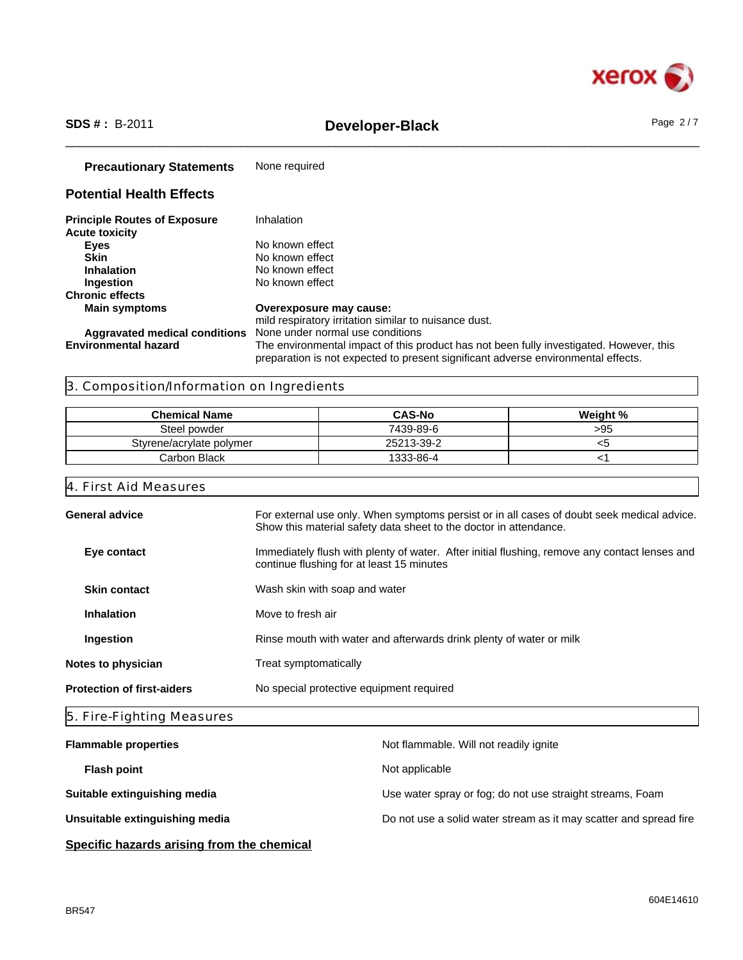

# \_\_\_\_\_\_\_\_\_\_\_\_\_\_\_\_\_\_\_\_\_\_\_\_\_\_\_\_\_\_\_\_\_\_\_\_\_\_\_\_\_\_\_\_\_\_\_\_\_\_\_\_\_\_\_\_\_\_\_\_\_\_\_\_\_\_\_\_\_\_\_\_\_\_\_\_\_\_\_\_\_\_\_\_\_\_\_\_\_\_\_\_\_\_ **SDS # :** B-2011 **Developer-Black** Page 2 / 7

| <b>Precautionary Statements</b>                              | None required                                                                                                                                                                |
|--------------------------------------------------------------|------------------------------------------------------------------------------------------------------------------------------------------------------------------------------|
| <b>Potential Health Effects</b>                              |                                                                                                                                                                              |
| <b>Principle Routes of Exposure</b><br><b>Acute toxicity</b> | Inhalation                                                                                                                                                                   |
| <b>Eyes</b>                                                  | No known effect                                                                                                                                                              |
| Skin                                                         | No known effect                                                                                                                                                              |
| <b>Inhalation</b>                                            | No known effect                                                                                                                                                              |
| Ingestion                                                    | No known effect                                                                                                                                                              |
| <b>Chronic effects</b>                                       |                                                                                                                                                                              |
| <b>Main symptoms</b>                                         | Overexposure may cause:                                                                                                                                                      |
|                                                              | mild respiratory irritation similar to nuisance dust.                                                                                                                        |
| Aggravated medical conditions                                | None under normal use conditions                                                                                                                                             |
| <b>Environmental hazard</b>                                  | The environmental impact of this product has not been fully investigated. However, this<br>preparation is not expected to present significant adverse environmental effects. |

# 3. Composition/Information on Ingredients

| <b>Chemical Name</b>     | <b>CAS-No</b> | Weight % |
|--------------------------|---------------|----------|
| Steel powder             | 7439-89-6     | >95      |
| Styrene/acrylate polymer | 25213-39-2    | ເວ       |
| Carbon Black             | 1333-86-4     |          |

# 4. First Aid Measures

| <b>General advice</b>             | For external use only. When symptoms persist or in all cases of doubt seek medical advice.<br>Show this material safety data sheet to the doctor in attendance. |
|-----------------------------------|-----------------------------------------------------------------------------------------------------------------------------------------------------------------|
| Eye contact                       | Immediately flush with plenty of water. After initial flushing, remove any contact lenses and<br>continue flushing for at least 15 minutes                      |
| <b>Skin contact</b>               | Wash skin with soap and water                                                                                                                                   |
| <b>Inhalation</b>                 | Move to fresh air                                                                                                                                               |
| Ingestion                         | Rinse mouth with water and afterwards drink plenty of water or milk                                                                                             |
| Notes to physician                | Treat symptomatically                                                                                                                                           |
| <b>Protection of first-aiders</b> | No special protective equipment required                                                                                                                        |
|                                   |                                                                                                                                                                 |

# 5. Fire-Fighting Measures

| <b>Flammable properties</b>    | Not flammable. Will not readily ignite                            |
|--------------------------------|-------------------------------------------------------------------|
| <b>Flash point</b>             | Not applicable                                                    |
| Suitable extinguishing media   | Use water spray or fog; do not use straight streams, Foam         |
| Unsuitable extinguishing media | Do not use a solid water stream as it may scatter and spread fire |
|                                |                                                                   |

# **Specific hazards arising from the chemical**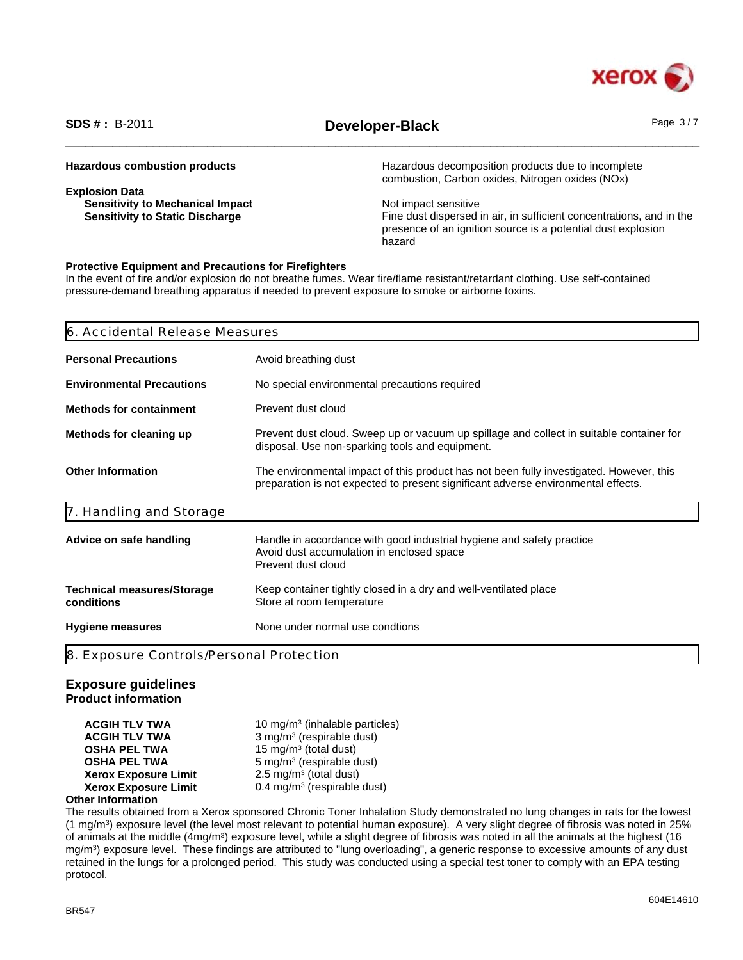

# \_\_\_\_\_\_\_\_\_\_\_\_\_\_\_\_\_\_\_\_\_\_\_\_\_\_\_\_\_\_\_\_\_\_\_\_\_\_\_\_\_\_\_\_\_\_\_\_\_\_\_\_\_\_\_\_\_\_\_\_\_\_\_\_\_\_\_\_\_\_\_\_\_\_\_\_\_\_\_\_\_\_\_\_\_\_\_\_\_\_\_\_\_\_ **SDS # :** B-2011 **Developer-Black** Page 3 / 7

| <b>Hazardous combustion products</b>    | Hazardous decomposition products due to incomplete<br>combustion, Carbon oxides, Nitrogen oxides (NOx) |
|-----------------------------------------|--------------------------------------------------------------------------------------------------------|
| <b>Explosion Data</b>                   |                                                                                                        |
| <b>Sensitivity to Mechanical Impact</b> | Not impact sensitive                                                                                   |
| <b>Sensitivity to Static Discharge</b>  | Fine dust dispersed in air, in sufficient concentrations, and in the                                   |
|                                         | presence of an ignition source is a potential dust explosion                                           |
|                                         | hazard                                                                                                 |

# **Protective Equipment and Precautions for Firefighters**

In the event of fire and/or explosion do not breathe fumes. Wear fire/flame resistant/retardant clothing. Use self-contained pressure-demand breathing apparatus if needed to prevent exposure to smoke or airborne toxins.

| <b>Personal Precautions</b><br>Avoid breathing dust<br><b>Environmental Precautions</b><br>No special environmental precautions required<br>Prevent dust cloud<br>Prevent dust cloud. Sweep up or vacuum up spillage and collect in suitable container for |
|------------------------------------------------------------------------------------------------------------------------------------------------------------------------------------------------------------------------------------------------------------|
| <b>Methods for containment</b><br>Methods for cleaning up                                                                                                                                                                                                  |
|                                                                                                                                                                                                                                                            |
|                                                                                                                                                                                                                                                            |
| disposal. Use non-sparking tools and equipment.                                                                                                                                                                                                            |
| <b>Other Information</b><br>The environmental impact of this product has not been fully investigated. However, this<br>preparation is not expected to present significant adverse environmental effects.                                                   |
| 7. Handling and Storage                                                                                                                                                                                                                                    |
| Handle in accordance with good industrial hygiene and safety practice<br>Advice on safe handling<br>Avoid dust accumulation in enclosed space<br>Prevent dust cloud                                                                                        |
| Keep container tightly closed in a dry and well-ventilated place<br><b>Technical measures/Storage</b><br>conditions<br>Store at room temperature                                                                                                           |
| None under normal use condtions<br><b>Hygiene measures</b>                                                                                                                                                                                                 |
| 8. Exposure Controls/Personal Protection                                                                                                                                                                                                                   |

## **Exposure guidelines**

**Product information**

**ACGIH TLV TWA** 10 mg/m<sup>3</sup> (inhalable particles) **ACGIH TLV TWA** 3 mg/m<sup>3</sup> (respirable dust) **OSHA PEL TWA** 15 mg/m<sup>3</sup> (total dust) **OSHA PEL TWA** 5 mg/m<sup>3</sup> (respirable dust) **Xerox Exposure Limit**  $2.5 \text{ mg/m}^3$  (total dust) **Xerox Exposure Limit** 0.4 mg/m<sup>3</sup> (respirable dust)

# **Other Information**

The results obtained from a Xerox sponsored Chronic Toner Inhalation Study demonstrated no lung changes in rats for the lowest (1 mg/m<sup>3</sup> ) exposure level (the level most relevant to potential human exposure). A very slight degree of fibrosis was noted in 25% of animals at the middle (4mg/m<sup>3</sup>) exposure level, while a slight degree of fibrosis was noted in all the animals at the highest (16 mg/m<sup>3</sup> ) exposure level. These findings are attributed to "lung overloading", a generic response to excessive amounts of any dust retained in the lungs for a prolonged period. This study was conducted using a special test toner to comply with an EPA testing protocol.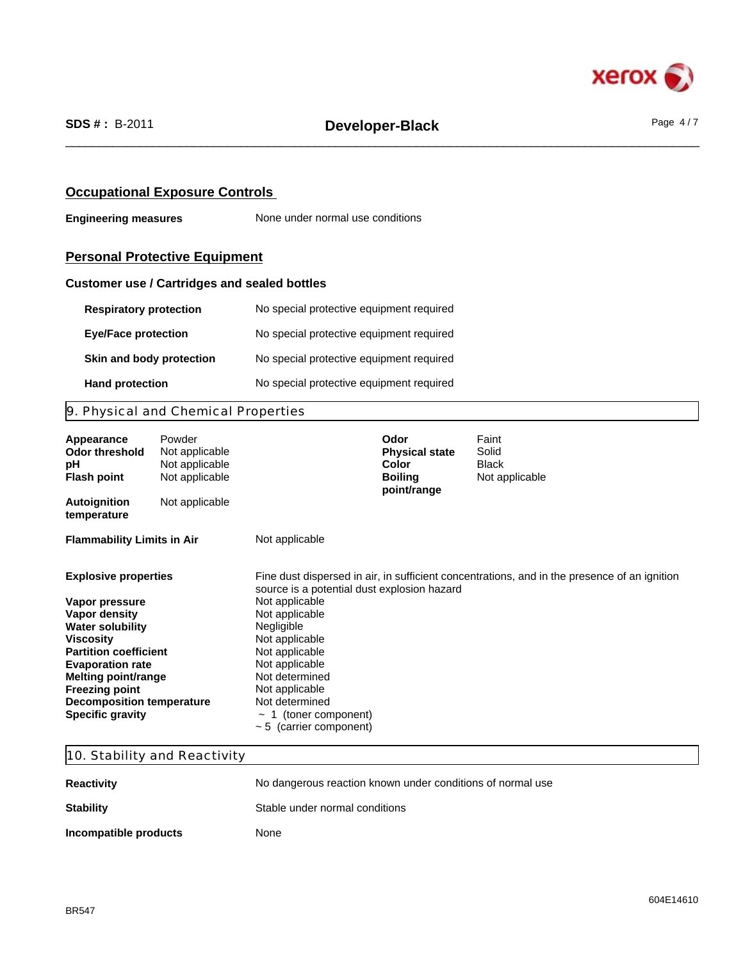

# **Occupational Exposure Controls**

**Engineering measures** None under normal use conditions

# **Personal Protective Equipment**

# **Customer use / Cartridges and sealed bottles**

| <b>Respiratory protection</b> | No special protective equipment required |
|-------------------------------|------------------------------------------|
| <b>Eye/Face protection</b>    | No special protective equipment required |
| Skin and body protection      | No special protective equipment required |
| <b>Hand protection</b>        | No special protective equipment required |

# 9. Physical and Chemical Properties

| Appearance<br>Odor threshold<br>рH<br><b>Flash point</b>                                                                                                                                                                                                                         | Powder<br>Not applicable<br>Not applicable<br>Not applicable |                                                                                                                                                                                                                                                                    | Odor<br><b>Physical state</b><br>Color<br><b>Boiling</b><br>point/range | Faint<br>Solid<br><b>Black</b><br>Not applicable                                             |
|----------------------------------------------------------------------------------------------------------------------------------------------------------------------------------------------------------------------------------------------------------------------------------|--------------------------------------------------------------|--------------------------------------------------------------------------------------------------------------------------------------------------------------------------------------------------------------------------------------------------------------------|-------------------------------------------------------------------------|----------------------------------------------------------------------------------------------|
| <b>Autoignition</b><br>temperature                                                                                                                                                                                                                                               | Not applicable                                               |                                                                                                                                                                                                                                                                    |                                                                         |                                                                                              |
| <b>Flammability Limits in Air</b>                                                                                                                                                                                                                                                |                                                              | Not applicable                                                                                                                                                                                                                                                     |                                                                         |                                                                                              |
| <b>Explosive properties</b><br>Vapor pressure<br>Vapor density<br><b>Water solubility</b><br>Viscosity<br><b>Partition coefficient</b><br><b>Evaporation rate</b><br>Melting point/range<br><b>Freezing point</b><br><b>Decomposition temperature</b><br><b>Specific gravity</b> |                                                              | source is a potential dust explosion hazard<br>Not applicable<br>Not applicable<br>Negligible<br>Not applicable<br>Not applicable<br>Not applicable<br>Not determined<br>Not applicable<br>Not determined<br>$\sim$ 1 (toner component)<br>~ 5 (carrier component) |                                                                         | Fine dust dispersed in air, in sufficient concentrations, and in the presence of an ignition |

# 10. Stability and Reactivity

| <b>Reactivity</b>     | No dangerous reaction known under conditions of normal use |
|-----------------------|------------------------------------------------------------|
| <b>Stability</b>      | Stable under normal conditions                             |
| Incompatible products | None                                                       |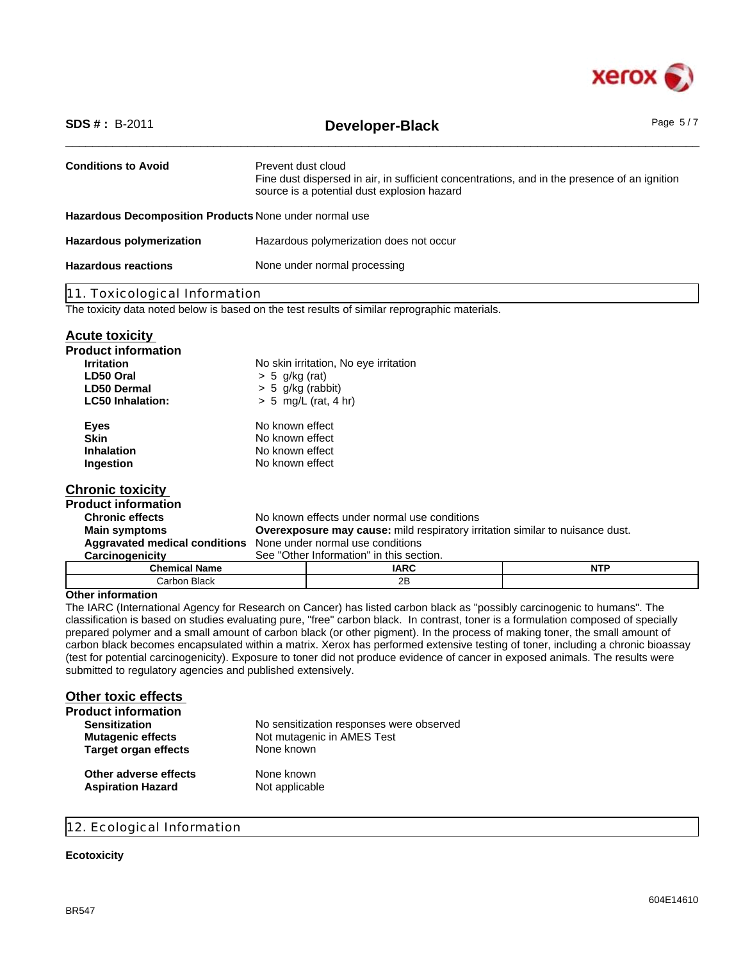

| <b>SDS #: B-2011</b><br>Developer-Black                |                                                                                                                                                                   |                                                                                               | Page 5/7   |
|--------------------------------------------------------|-------------------------------------------------------------------------------------------------------------------------------------------------------------------|-----------------------------------------------------------------------------------------------|------------|
| <b>Conditions to Avoid</b>                             | Prevent dust cloud<br>Fine dust dispersed in air, in sufficient concentrations, and in the presence of an ignition<br>source is a potential dust explosion hazard |                                                                                               |            |
| Hazardous Decomposition Products None under normal use |                                                                                                                                                                   |                                                                                               |            |
| <b>Hazardous polymerization</b>                        |                                                                                                                                                                   | Hazardous polymerization does not occur                                                       |            |
| <b>Hazardous reactions</b>                             | None under normal processing                                                                                                                                      |                                                                                               |            |
| 11. Toxicological Information                          |                                                                                                                                                                   |                                                                                               |            |
|                                                        |                                                                                                                                                                   | The toxicity data noted below is based on the test results of similar reprographic materials. |            |
| <b>Acute toxicity</b>                                  |                                                                                                                                                                   |                                                                                               |            |
| <b>Product information</b>                             |                                                                                                                                                                   |                                                                                               |            |
| <b>Irritation</b>                                      |                                                                                                                                                                   | No skin irritation, No eye irritation                                                         |            |
| LD50 Oral                                              | $> 5$ g/kg (rat)                                                                                                                                                  |                                                                                               |            |
| <b>LD50 Dermal</b>                                     | $> 5$ g/kg (rabbit)                                                                                                                                               |                                                                                               |            |
| <b>LC50 Inhalation:</b>                                | $> 5$ mg/L (rat, 4 hr)                                                                                                                                            |                                                                                               |            |
| <b>Eyes</b>                                            | No known effect                                                                                                                                                   |                                                                                               |            |
| <b>Skin</b>                                            | No known effect                                                                                                                                                   |                                                                                               |            |
| <b>Inhalation</b>                                      | No known effect                                                                                                                                                   |                                                                                               |            |
| Ingestion                                              | No known effect                                                                                                                                                   |                                                                                               |            |
| <b>Chronic toxicity</b>                                |                                                                                                                                                                   |                                                                                               |            |
| <b>Product information</b>                             |                                                                                                                                                                   |                                                                                               |            |
| <b>Chronic effects</b>                                 |                                                                                                                                                                   | No known effects under normal use conditions                                                  |            |
| <b>Main symptoms</b>                                   |                                                                                                                                                                   | <b>Overexposure may cause:</b> mild respiratory irritation similar to nuisance dust.          |            |
| <b>Aggravated medical conditions</b>                   |                                                                                                                                                                   | None under normal use conditions                                                              |            |
| Carcinogenicity                                        | See "Other Information" in this section.                                                                                                                          |                                                                                               |            |
| <b>Chemical Name</b>                                   |                                                                                                                                                                   | <b>IARC</b>                                                                                   | <b>NTP</b> |
| Carbon Black                                           |                                                                                                                                                                   | 2B                                                                                            |            |
| <b>Other information</b>                               |                                                                                                                                                                   |                                                                                               |            |

The IARC (International Agency for Research on Cancer) has listed carbon black as "possibly carcinogenic to humans". The classification is based on studies evaluating pure, "free" carbon black. In contrast, toner is a formulation composed of specially prepared polymer and a small amount of carbon black (or other pigment). In the process of making toner, the small amount of carbon black becomes encapsulated within a matrix. Xerox has performed extensive testing of toner, including a chronic bioassay (test for potential carcinogenicity). Exposure to toner did not produce evidence of cancer in exposed animals. The results were submitted to regulatory agencies and published extensively.

| <b>Other toxic effects</b>  |                                          |
|-----------------------------|------------------------------------------|
| <b>Product information</b>  |                                          |
| <b>Sensitization</b>        | No sensitization responses were observed |
| <b>Mutagenic effects</b>    | Not mutagenic in AMES Test               |
| <b>Target organ effects</b> | None known                               |
| Other adverse effects       | None known                               |
| <b>Aspiration Hazard</b>    | Not applicable                           |

# 12. Ecological Information

## **Ecotoxicity**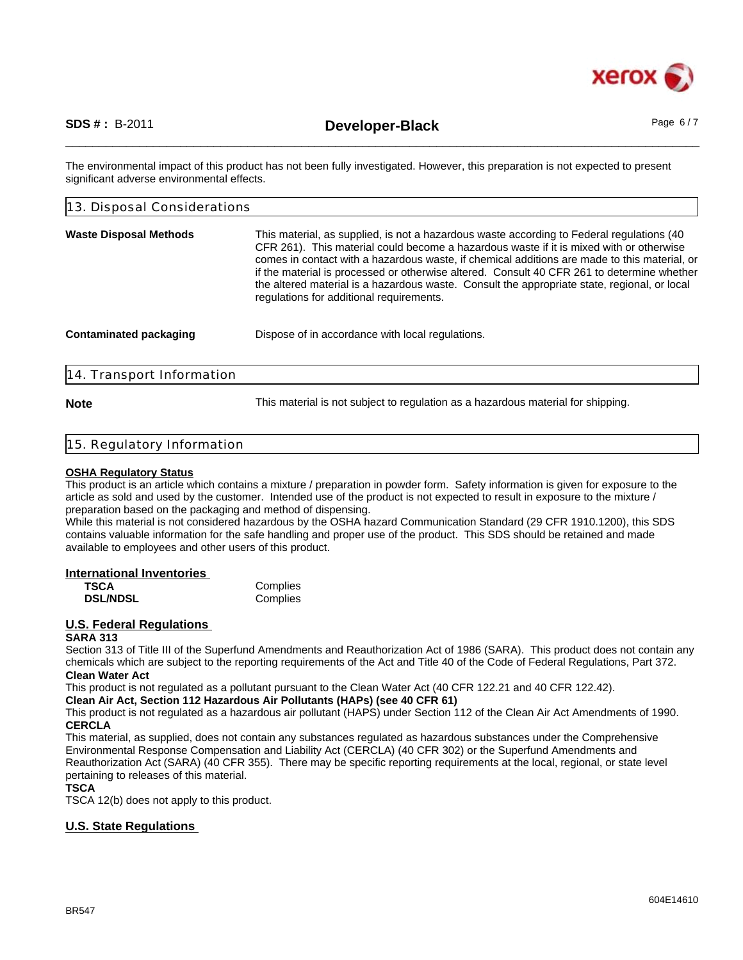

\_\_\_\_\_\_\_\_\_\_\_\_\_\_\_\_\_\_\_\_\_\_\_\_\_\_\_\_\_\_\_\_\_\_\_\_\_\_\_\_\_\_\_\_\_\_\_\_\_\_\_\_\_\_\_\_\_\_\_\_\_\_\_\_\_\_\_\_\_\_\_\_\_\_\_\_\_\_\_\_\_\_\_\_\_\_\_\_\_\_\_\_\_\_ **SDS # :** B-2011 **Developer-Black** Page 6 / 7

The environmental impact of this product has not been fully investigated. However, this preparation is not expected to present significant adverse environmental effects.

| 13. Disposal Considerations   |                                                                                                                                                                                                                                                                                                                                                                                                                                                                                                                                |  |
|-------------------------------|--------------------------------------------------------------------------------------------------------------------------------------------------------------------------------------------------------------------------------------------------------------------------------------------------------------------------------------------------------------------------------------------------------------------------------------------------------------------------------------------------------------------------------|--|
| <b>Waste Disposal Methods</b> | This material, as supplied, is not a hazardous waste according to Federal regulations (40<br>CFR 261). This material could become a hazardous waste if it is mixed with or otherwise<br>comes in contact with a hazardous waste, if chemical additions are made to this material, or<br>if the material is processed or otherwise altered. Consult 40 CFR 261 to determine whether<br>the altered material is a hazardous waste. Consult the appropriate state, regional, or local<br>regulations for additional requirements. |  |
| <b>Contaminated packaging</b> | Dispose of in accordance with local regulations.                                                                                                                                                                                                                                                                                                                                                                                                                                                                               |  |
| 14. Transport Information     |                                                                                                                                                                                                                                                                                                                                                                                                                                                                                                                                |  |

**Note** This material is not subject to regulation as a hazardous material for shipping.

## 15. Regulatory Information

### **OSHA Regulatory Status**

This product is an article which contains a mixture / preparation in powder form. Safety information is given for exposure to the article as sold and used by the customer. Intended use of the product is not expected to result in exposure to the mixture / preparation based on the packaging and method of dispensing.

While this material is not considered hazardous by the OSHA hazard Communication Standard (29 CFR 1910.1200), this SDS contains valuable information for the safe handling and proper use of the product. This SDS should be retained and made available to employees and other users of this product.

## **International Inventories**

| <b>TSCA</b>     | Complies |
|-----------------|----------|
| <b>DSL/NDSL</b> | Complies |

# **U.S. Federal Regulations**

### **SARA 313**

Section 313 of Title III of the Superfund Amendments and Reauthorization Act of 1986 (SARA). This product does not contain any chemicals which are subject to the reporting requirements of the Act and Title 40 of the Code of Federal Regulations, Part 372. **Clean Water Act**

This product is not regulated as a pollutant pursuant to the Clean Water Act (40 CFR 122.21 and 40 CFR 122.42).

**Clean Air Act, Section 112 Hazardous Air Pollutants (HAPs) (see 40 CFR 61)**

This product is not regulated as a hazardous air pollutant (HAPS) under Section 112 of the Clean Air Act Amendments of 1990. **CERCLA**

This material, as supplied, does not contain any substances regulated as hazardous substances under the Comprehensive Environmental Response Compensation and Liability Act (CERCLA) (40 CFR 302) or the Superfund Amendments and Reauthorization Act (SARA) (40 CFR 355). There may be specific reporting requirements at the local, regional, or state level pertaining to releases of this material.

## **TSCA**

TSCA 12(b) does not apply to this product.

# **U.S. State Regulations**